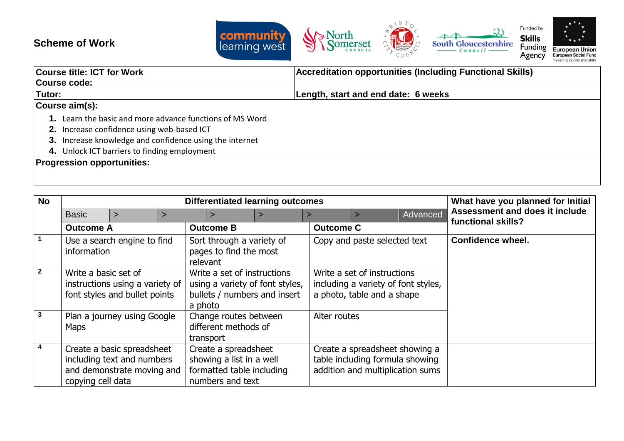## **Scheme of Work**



| <b>Course title: ICT for Work</b>                        | <b>Accreditation opportunities (Including Functional Skills)</b> |  |  |
|----------------------------------------------------------|------------------------------------------------------------------|--|--|
| Course code:                                             |                                                                  |  |  |
| Tutor:                                                   | Length, start and end date: 6 weeks                              |  |  |
| Course aim(s):                                           |                                                                  |  |  |
| 1. Learn the basic and more advance functions of MS Word |                                                                  |  |  |
| 2. Increase confidence using web-based ICT               |                                                                  |  |  |
| 3. Increase knowledge and confidence using the internet  |                                                                  |  |  |
| 4. Unlock ICT barriers to finding employment             |                                                                  |  |  |
| <b>Progression opportunities:</b>                        |                                                                  |  |  |
|                                                          |                                                                  |  |  |

| <b>No</b>      |                                                                                          |                                                                                        |   | <b>Differentiated learning outcomes</b>                                                                   |                                                                      |                           |                                                                                                  |                                                                                                       | What have you planned for Initial |                                                      |
|----------------|------------------------------------------------------------------------------------------|----------------------------------------------------------------------------------------|---|-----------------------------------------------------------------------------------------------------------|----------------------------------------------------------------------|---------------------------|--------------------------------------------------------------------------------------------------|-------------------------------------------------------------------------------------------------------|-----------------------------------|------------------------------------------------------|
|                | <b>Basic</b>                                                                             | $\geq$                                                                                 | ⋗ |                                                                                                           |                                                                      | ⋗                         |                                                                                                  |                                                                                                       | Advanced                          | Assessment and does it include<br>functional skills? |
|                | <b>Outcome A</b>                                                                         |                                                                                        |   | <b>Outcome B</b>                                                                                          |                                                                      |                           | <b>Outcome C</b>                                                                                 |                                                                                                       |                                   |                                                      |
|                | Use a search engine to find<br>information                                               |                                                                                        |   | relevant                                                                                                  | pages to find the most                                               | Sort through a variety of |                                                                                                  | Copy and paste selected text                                                                          |                                   | <b>Confidence wheel.</b>                             |
| $\overline{2}$ | Write a basic set of<br>instructions using a variety of<br>font styles and bullet points |                                                                                        |   | Write a set of instructions<br>using a variety of font styles,<br>bullets / numbers and insert<br>a photo |                                                                      |                           | Write a set of instructions<br>including a variety of font styles,<br>a photo, table and a shape |                                                                                                       |                                   |                                                      |
| 3              | <b>Maps</b>                                                                              | Plan a journey using Google                                                            |   | transport                                                                                                 | Change routes between<br>different methods of                        |                           | Alter routes                                                                                     |                                                                                                       |                                   |                                                      |
| 4              | copying cell data                                                                        | Create a basic spreadsheet<br>including text and numbers<br>and demonstrate moving and |   |                                                                                                           | Create a spreadsheet<br>showing a list in a well<br>numbers and text | formatted table including |                                                                                                  | Create a spreadsheet showing a<br>table including formula showing<br>addition and multiplication sums |                                   |                                                      |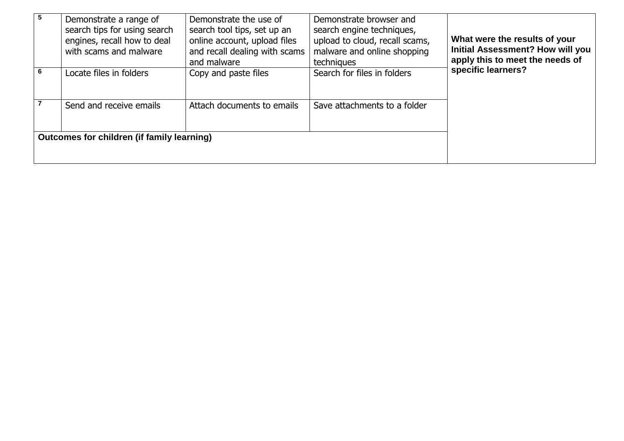| 5 | Demonstrate a range of<br>search tips for using search<br>engines, recall how to deal<br>with scams and malware | Demonstrate the use of<br>search tool tips, set up an<br>online account, upload files<br>and recall dealing with scams<br>and malware | Demonstrate browser and<br>search engine techniques,<br>upload to cloud, recall scams,<br>malware and online shopping<br>techniques | What were the results of your<br><b>Initial Assessment? How will you</b><br>apply this to meet the needs of |  |  |
|---|-----------------------------------------------------------------------------------------------------------------|---------------------------------------------------------------------------------------------------------------------------------------|-------------------------------------------------------------------------------------------------------------------------------------|-------------------------------------------------------------------------------------------------------------|--|--|
| 6 | Locate files in folders                                                                                         | Copy and paste files                                                                                                                  | Search for files in folders                                                                                                         | specific learners?                                                                                          |  |  |
|   | Send and receive emails                                                                                         | Attach documents to emails                                                                                                            | Save attachments to a folder                                                                                                        |                                                                                                             |  |  |
|   | <b>Outcomes for children (if family learning)</b>                                                               |                                                                                                                                       |                                                                                                                                     |                                                                                                             |  |  |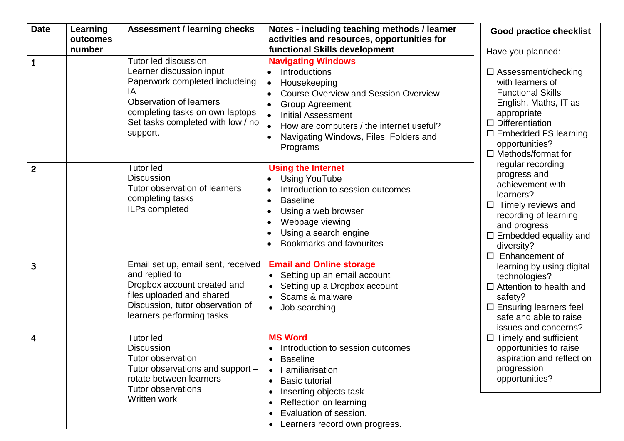| <b>Date</b>             | Learning | <b>Assessment / learning checks</b>                                                                                                                                                                      | Notes - including teaching methods / learner                                                                                                                                                                                                                                    | <b>Good practice checklist</b>                                                                                                                                                                                                                                                                                                                                                                                                                                                                                                                                                                                                                                                                                                                            |  |  |
|-------------------------|----------|----------------------------------------------------------------------------------------------------------------------------------------------------------------------------------------------------------|---------------------------------------------------------------------------------------------------------------------------------------------------------------------------------------------------------------------------------------------------------------------------------|-----------------------------------------------------------------------------------------------------------------------------------------------------------------------------------------------------------------------------------------------------------------------------------------------------------------------------------------------------------------------------------------------------------------------------------------------------------------------------------------------------------------------------------------------------------------------------------------------------------------------------------------------------------------------------------------------------------------------------------------------------------|--|--|
|                         | outcomes |                                                                                                                                                                                                          | activities and resources, opportunities for                                                                                                                                                                                                                                     |                                                                                                                                                                                                                                                                                                                                                                                                                                                                                                                                                                                                                                                                                                                                                           |  |  |
|                         | number   |                                                                                                                                                                                                          | functional Skills development                                                                                                                                                                                                                                                   | Have you planned:                                                                                                                                                                                                                                                                                                                                                                                                                                                                                                                                                                                                                                                                                                                                         |  |  |
| $\mathbf{1}$            |          | Tutor led discussion,<br>Learner discussion input<br>Paperwork completed includeing<br>IA<br>Observation of learners<br>completing tasks on own laptops<br>Set tasks completed with low / no<br>support. | <b>Navigating Windows</b><br>Introductions<br>Housekeeping<br>$\bullet$<br><b>Course Overview and Session Overview</b><br><b>Group Agreement</b><br><b>Initial Assessment</b><br>How are computers / the internet useful?<br>Navigating Windows, Files, Folders and<br>Programs | $\Box$ Assessment/checking<br>with learners of<br><b>Functional Skills</b><br>English, Maths, IT as<br>appropriate<br>$\Box$ Differentiation<br>$\Box$ Embedded FS learning<br>opportunities?<br>$\Box$ Methods/format for<br>regular recording<br>progress and<br>achievement with<br>learners?<br>Timely reviews and<br>$\Box$<br>recording of learning<br>and progress<br>$\Box$ Embedded equality and<br>diversity?<br>Enhancement of<br>$\Box$<br>learning by using digital<br>technologies?<br>$\Box$ Attention to health and<br>safety?<br>$\Box$ Ensuring learners feel<br>safe and able to raise<br>issues and concerns?<br>$\Box$ Timely and sufficient<br>opportunities to raise<br>aspiration and reflect on<br>progression<br>opportunities? |  |  |
| $\overline{c}$          |          | <b>Tutor led</b><br><b>Discussion</b><br>Tutor observation of learners<br>completing tasks<br>ILPs completed                                                                                             | <b>Using the Internet</b><br><b>Using YouTube</b><br>Introduction to session outcomes<br><b>Baseline</b><br>$\bullet$<br>Using a web browser<br>$\bullet$<br>Webpage viewing<br>Using a search engine<br><b>Bookmarks and favourites</b>                                        |                                                                                                                                                                                                                                                                                                                                                                                                                                                                                                                                                                                                                                                                                                                                                           |  |  |
| $\overline{\mathbf{3}}$ |          | Email set up, email sent, received<br>and replied to<br>Dropbox account created and<br>files uploaded and shared<br>Discussion, tutor observation of<br>learners performing tasks                        | <b>Email and Online storage</b><br>• Setting up an email account<br>Setting up a Dropbox account<br>Scams & malware<br>Job searching<br>$\bullet$                                                                                                                               |                                                                                                                                                                                                                                                                                                                                                                                                                                                                                                                                                                                                                                                                                                                                                           |  |  |
| $\overline{4}$          |          | <b>Tutor led</b><br><b>Discussion</b><br><b>Tutor observation</b><br>Tutor observations and support -<br>rotate between learners<br><b>Tutor observations</b><br>Written work                            | <b>MS Word</b><br>• Introduction to session outcomes<br><b>Baseline</b><br>Familiarisation<br><b>Basic tutorial</b><br>$\bullet$<br>Inserting objects task<br>Reflection on learning<br>Evaluation of session.<br>Learners record own progress.                                 |                                                                                                                                                                                                                                                                                                                                                                                                                                                                                                                                                                                                                                                                                                                                                           |  |  |